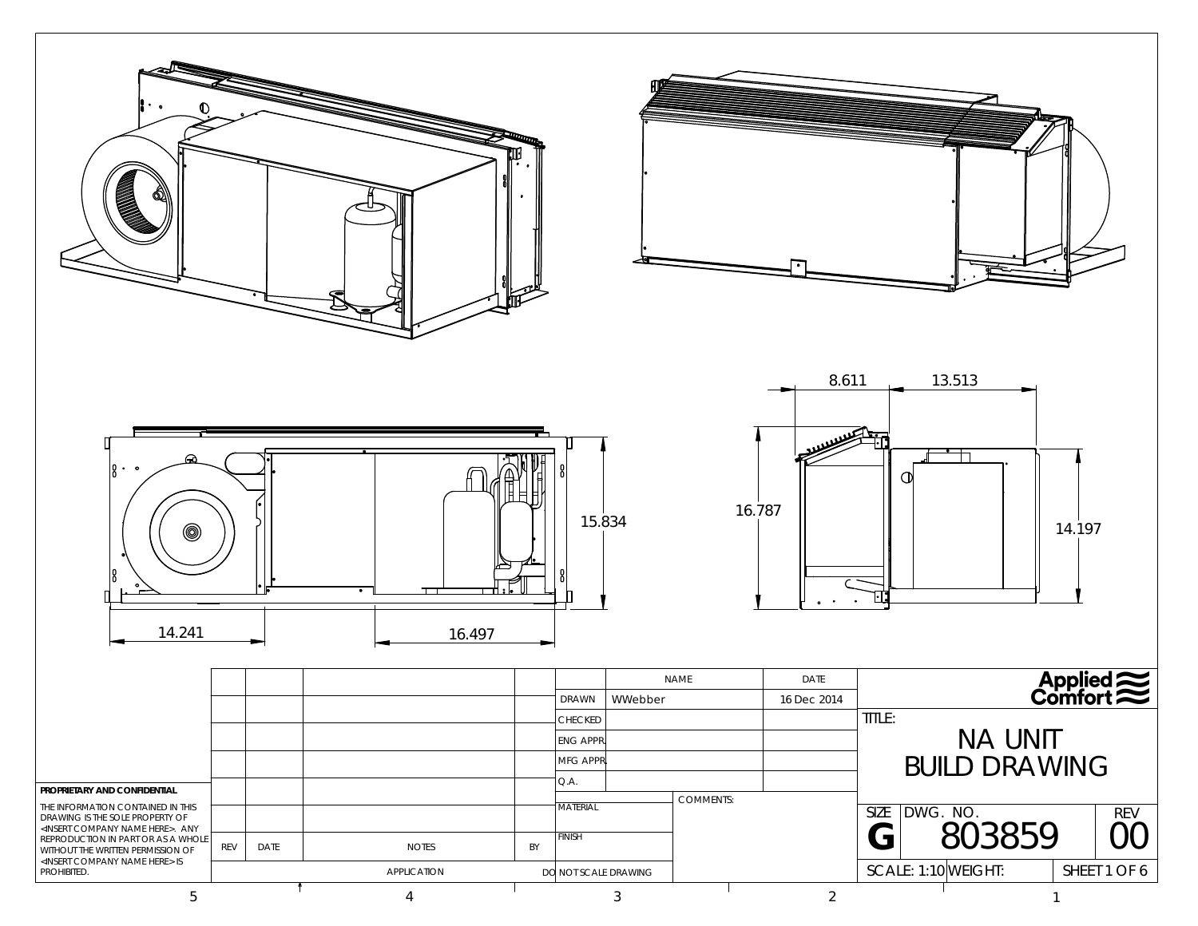| $\left  \begin{smallmatrix} 0 & \cdot & \cdot \\ 0 & \cdot & \cdot \end{smallmatrix} \right $<br>14.241                                                                                                |     |      |              |             | 16.497 |    | 15.834                    |                |                  | 16.787         | 8.611<br>O       | 13.513<br>┑              | 14.197       |                   |
|--------------------------------------------------------------------------------------------------------------------------------------------------------------------------------------------------------|-----|------|--------------|-------------|--------|----|---------------------------|----------------|------------------|----------------|------------------|--------------------------|--------------|-------------------|
|                                                                                                                                                                                                        |     |      |              |             |        |    |                           |                | <b>NAME</b>      | DATE           |                  |                          |              | Applied $\approx$ |
|                                                                                                                                                                                                        |     |      |              |             |        |    | DRAWN<br>CHECKED          | WWebber        |                  | 16 Dec 2014    | TITLE:           |                          |              |                   |
|                                                                                                                                                                                                        |     |      |              |             |        |    | <b>ENG APPR</b>           |                |                  |                |                  | NA UNIT<br>BUILD DRAWING |              |                   |
|                                                                                                                                                                                                        |     |      |              |             |        |    | MFG APPR                  |                |                  |                |                  |                          |              |                   |
| PROPRIETARY AND CONFIDENTIAL                                                                                                                                                                           |     |      |              |             |        |    | Q.A.                      |                | <b>COMMENTS:</b> |                |                  |                          |              |                   |
| THE INFORMATION CONTAINED IN THIS<br>DRAWING IS THE SOLE PROPERTY OF<br><insert company="" here="" name="">. ANY<br/>REPRODUCTION IN PART OR AS A WHOLE<br/>WITHOUT THE WRITTEN PERMISSION OF</insert> | REV | DATE | <b>NOTES</b> |             |        | BY | <b>MATERIAL</b><br>FINISH |                |                  |                | <b>SIZE</b><br>G | DWG. NO.<br>803859       |              | <b>REV</b><br>00  |
| <insert company="" here="" name=""> IS<br/>PROHIBITED.</insert>                                                                                                                                        |     |      |              | APPLICATION |        |    | DO NOT SCALE DRAWING      |                |                  |                |                  | SCALE: 1:10 WEIGHT:      |              | SHEET 1 OF 6      |
| $\overline{5}$                                                                                                                                                                                         |     |      |              | 4           |        |    |                           | $\mathfrak{Z}$ |                  | $\overline{2}$ |                  |                          | $\mathbf{1}$ |                   |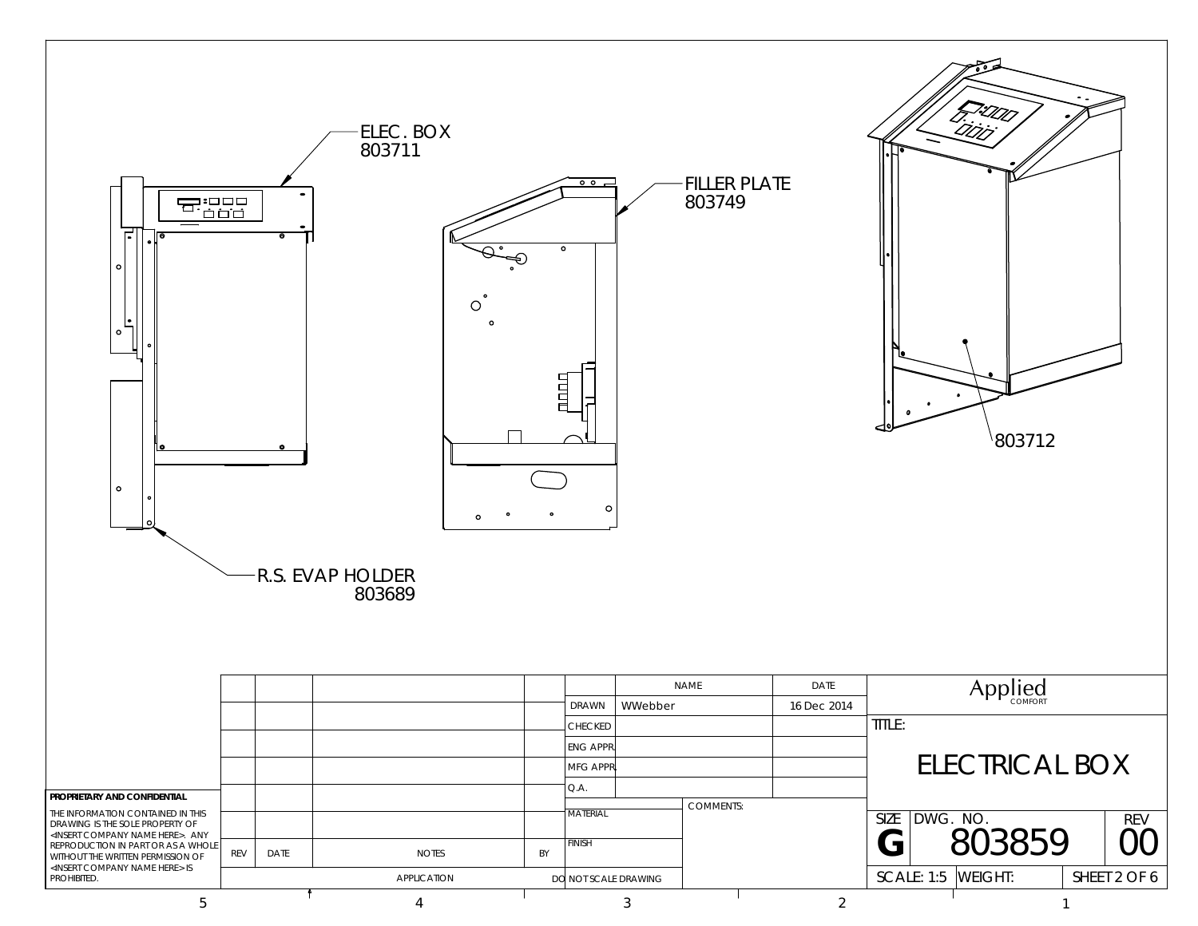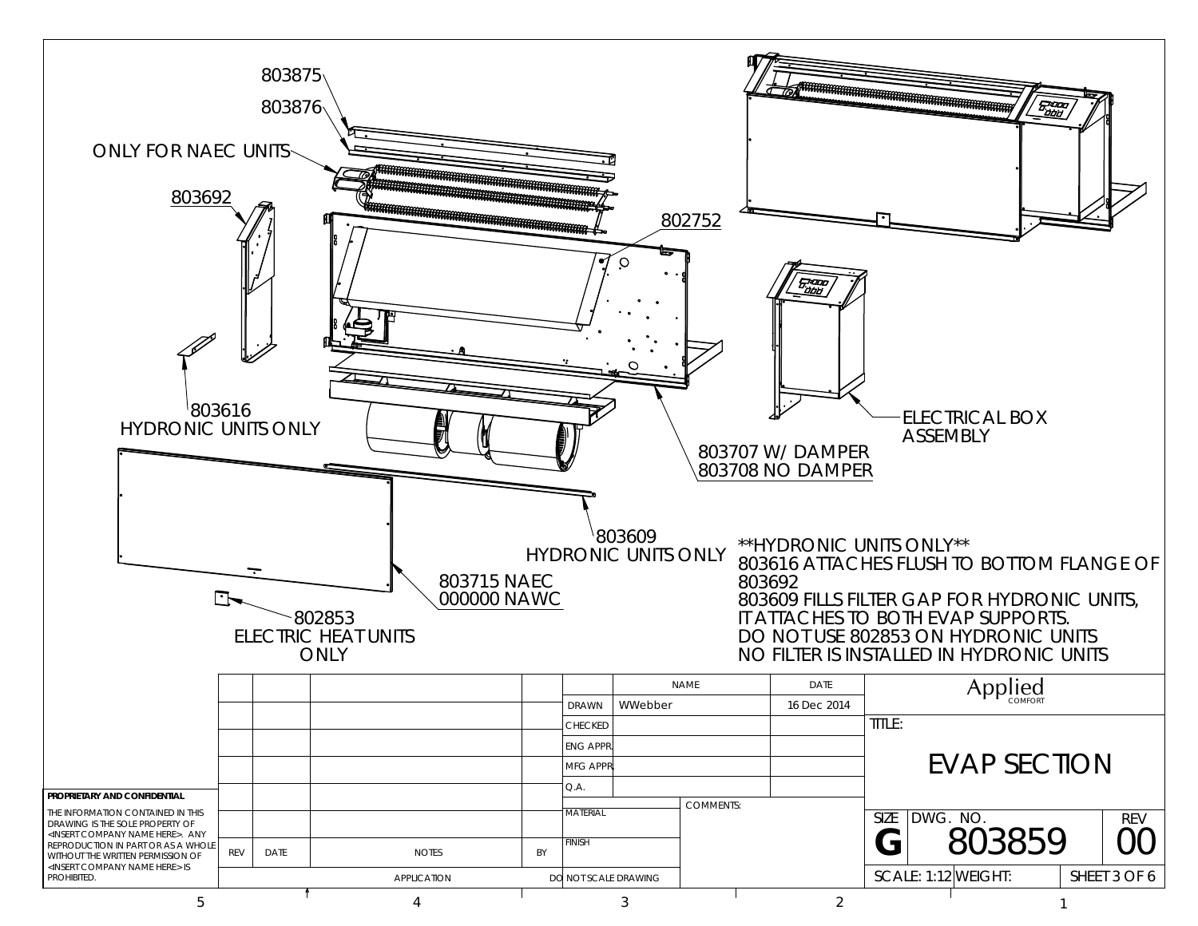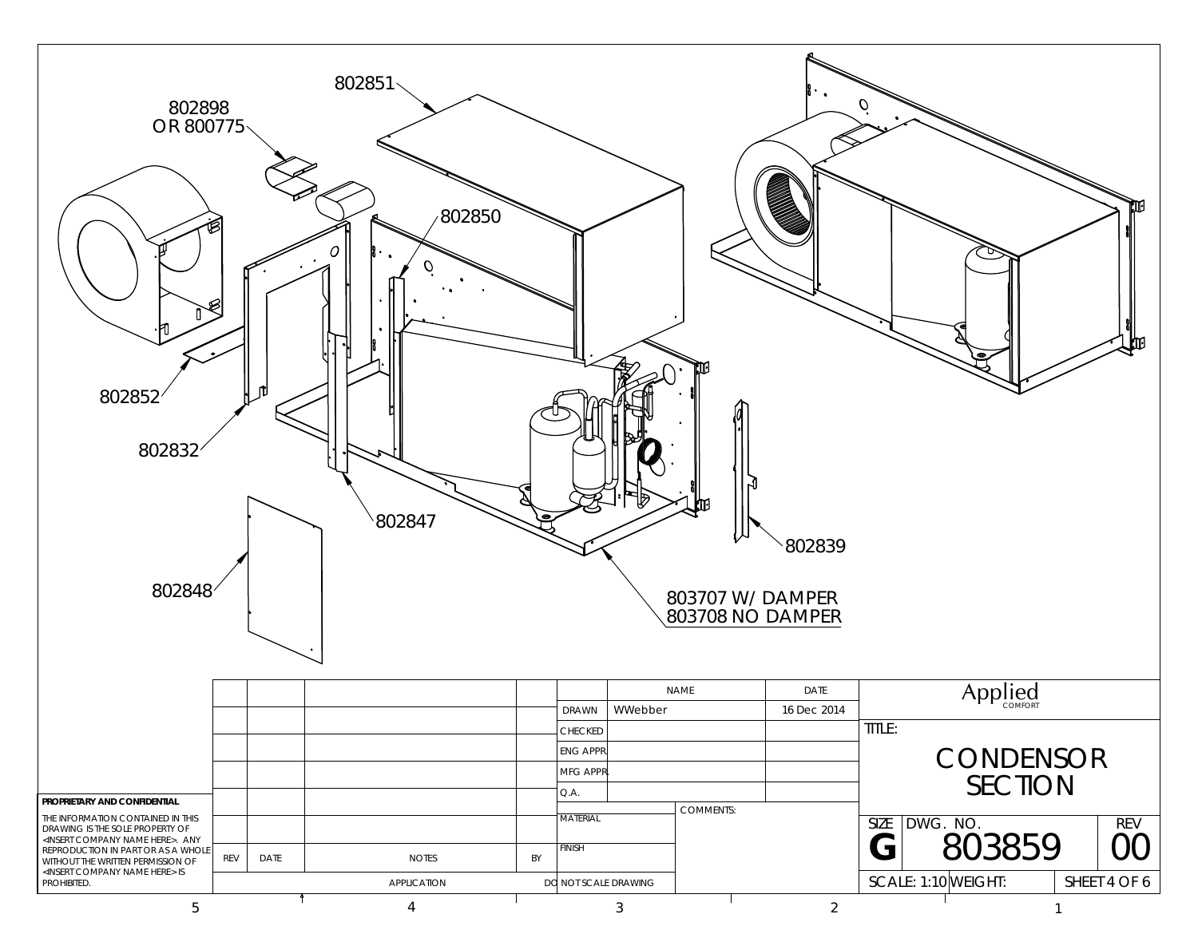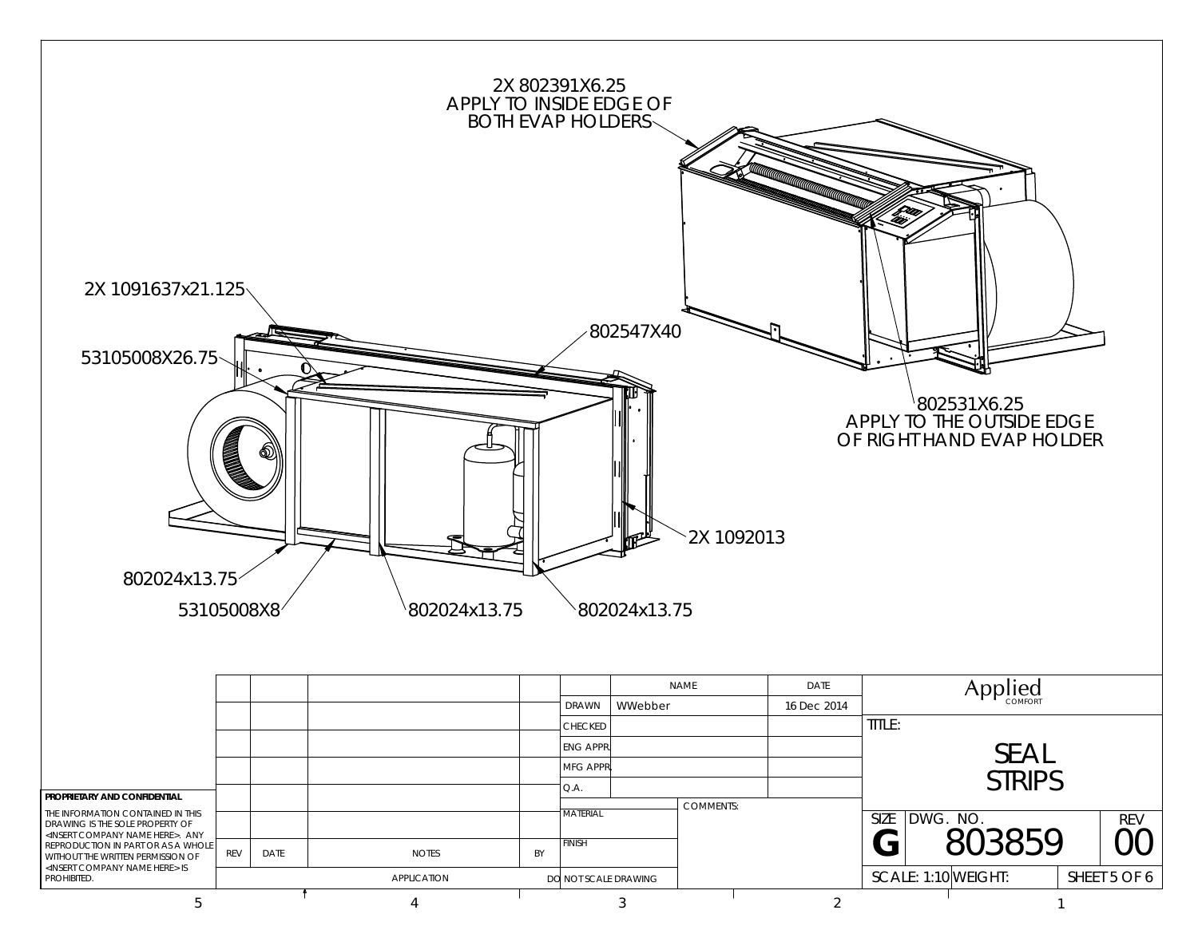